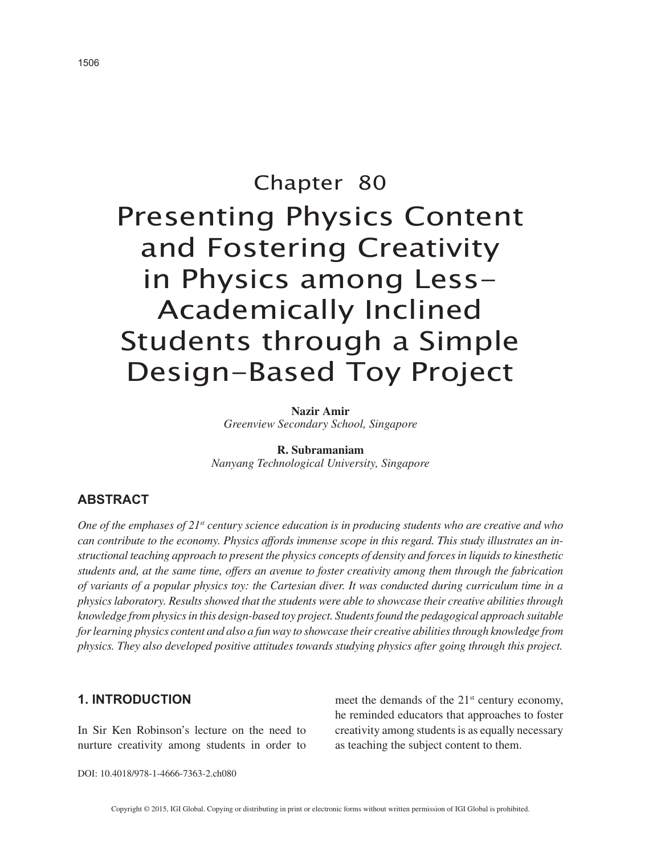# Chapter 80 Presenting Physics Content and Fostering Creativity in Physics among Less-Academically Inclined Students through a Simple Design-Based Toy Project

**Nazir Amir** *Greenview Secondary School, Singapore*

**R. Subramaniam** *Nanyang Technological University, Singapore*

# **ABSTRACT**

*One of the emphases of 21<sup>st</sup> century science education is in producing students who are creative and who can contribute to the economy. Physics affords immense scope in this regard. This study illustrates an instructional teaching approach to present the physics concepts of density and forces in liquids to kinesthetic students and, at the same time, offers an avenue to foster creativity among them through the fabrication of variants of a popular physics toy: the Cartesian diver. It was conducted during curriculum time in a physics laboratory. Results showed that the students were able to showcase their creative abilities through knowledge from physics in this design-based toy project. Students found the pedagogical approach suitable for learning physics content and also a fun way to showcase their creative abilities through knowledge from physics. They also developed positive attitudes towards studying physics after going through this project.*

#### **1. INTRODUCTION**

In Sir Ken Robinson's lecture on the need to nurture creativity among students in order to

meet the demands of the  $21<sup>st</sup>$  century economy, he reminded educators that approaches to foster creativity among students is as equally necessary as teaching the subject content to them.

DOI: 10.4018/978-1-4666-7363-2.ch080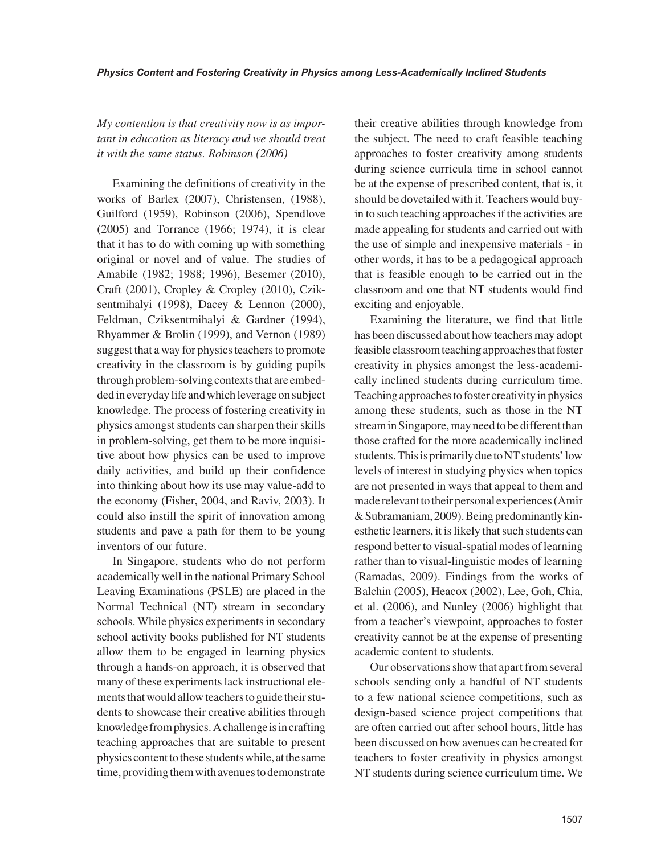### *My contention is that creativity now is as important in education as literacy and we should treat it with the same status. Robinson (2006)*

Examining the definitions of creativity in the works of Barlex (2007), Christensen, (1988), Guilford (1959), Robinson (2006), Spendlove (2005) and Torrance (1966; 1974), it is clear that it has to do with coming up with something original or novel and of value. The studies of Amabile (1982; 1988; 1996), Besemer (2010), Craft (2001), Cropley & Cropley (2010), Cziksentmihalyi (1998), Dacey & Lennon (2000), Feldman, Cziksentmihalyi & Gardner (1994), Rhyammer & Brolin (1999), and Vernon (1989) suggest that a way for physics teachers to promote creativity in the classroom is by guiding pupils through problem-solving contexts that are embedded in everyday life and which leverage on subject knowledge. The process of fostering creativity in physics amongst students can sharpen their skills in problem-solving, get them to be more inquisitive about how physics can be used to improve daily activities, and build up their confidence into thinking about how its use may value-add to the economy (Fisher, 2004, and Raviv, 2003). It could also instill the spirit of innovation among students and pave a path for them to be young inventors of our future.

In Singapore, students who do not perform academically well in the national Primary School Leaving Examinations (PSLE) are placed in the Normal Technical (NT) stream in secondary schools. While physics experiments in secondary school activity books published for NT students allow them to be engaged in learning physics through a hands-on approach, it is observed that many of these experiments lack instructional elements that would allow teachers to guide their students to showcase their creative abilities through knowledge from physics. A challenge is in crafting teaching approaches that are suitable to present physics content to these students while, at the same time, providing them with avenues to demonstrate their creative abilities through knowledge from the subject. The need to craft feasible teaching approaches to foster creativity among students during science curricula time in school cannot be at the expense of prescribed content, that is, it should be dovetailed with it. Teachers would buyin to such teaching approaches if the activities are made appealing for students and carried out with the use of simple and inexpensive materials - in other words, it has to be a pedagogical approach that is feasible enough to be carried out in the classroom and one that NT students would find exciting and enjoyable.

Examining the literature, we find that little has been discussed about how teachers may adopt feasible classroom teaching approaches that foster creativity in physics amongst the less-academically inclined students during curriculum time. Teaching approaches to foster creativity in physics among these students, such as those in the NT stream in Singapore, may need to be different than those crafted for the more academically inclined students. This is primarily due to NT students' low levels of interest in studying physics when topics are not presented in ways that appeal to them and made relevant to their personal experiences (Amir & Subramaniam, 2009). Being predominantly kinesthetic learners, it is likely that such students can respond better to visual-spatial modes of learning rather than to visual-linguistic modes of learning (Ramadas, 2009). Findings from the works of Balchin (2005), Heacox (2002), Lee, Goh, Chia, et al. (2006), and Nunley (2006) highlight that from a teacher's viewpoint, approaches to foster creativity cannot be at the expense of presenting academic content to students.

Our observations show that apart from several schools sending only a handful of NT students to a few national science competitions, such as design-based science project competitions that are often carried out after school hours, little has been discussed on how avenues can be created for teachers to foster creativity in physics amongst NT students during science curriculum time. We